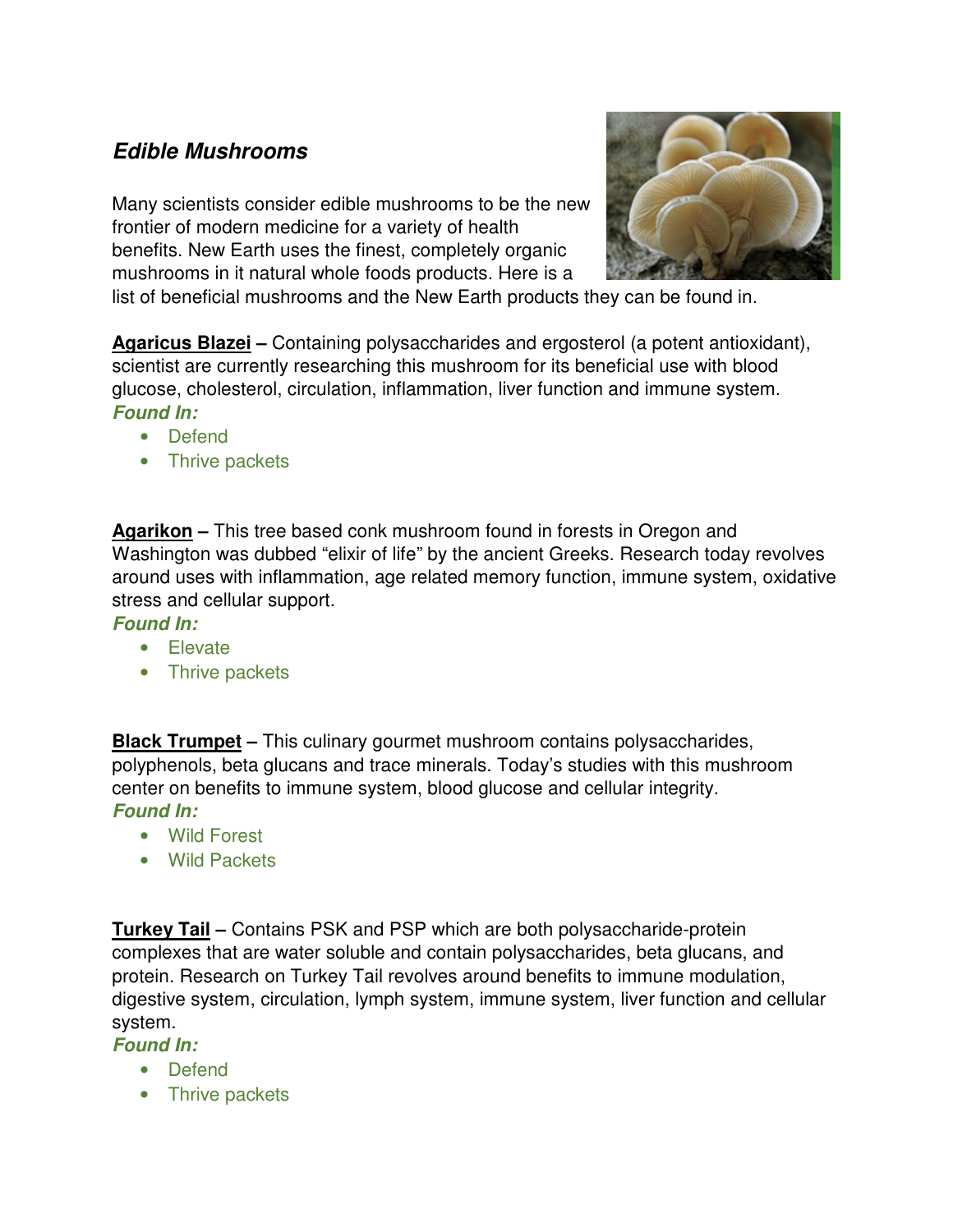# **Edible Mushrooms**

Many scientists consider edible mushrooms to be the new frontier of modern medicine for a variety of health benefits. New Earth uses the finest, completely organic mushrooms in it natural whole foods products. Here is a



list of beneficial mushrooms and the New Earth products they can be found in.

**Agaricus Blazei –** Containing polysaccharides and ergosterol (a potent antioxidant), scientist are currently researching this mushroom for its beneficial use with blood glucose, cholesterol, circulation, inflammation, liver function and immune system. **Found In:** 

- Defend
- Thrive packets

**Agarikon –** This tree based conk mushroom found in forests in Oregon and Washington was dubbed "elixir of life" by the ancient Greeks. Research today revolves around uses with inflammation, age related memory function, immune system, oxidative stress and cellular support.

### **Found In:**

- Elevate
- Thrive packets

**Black Trumpet –** This culinary gourmet mushroom contains polysaccharides, polyphenols, beta glucans and trace minerals. Today's studies with this mushroom center on benefits to immune system, blood glucose and cellular integrity. **Found In:** 

- Wild Forest
- Wild Packets

**Turkey Tail –** Contains PSK and PSP which are both polysaccharide-protein complexes that are water soluble and contain polysaccharides, beta glucans, and protein. Research on Turkey Tail revolves around benefits to immune modulation, digestive system, circulation, lymph system, immune system, liver function and cellular system.

## **Found In:**

- Defend
- Thrive packets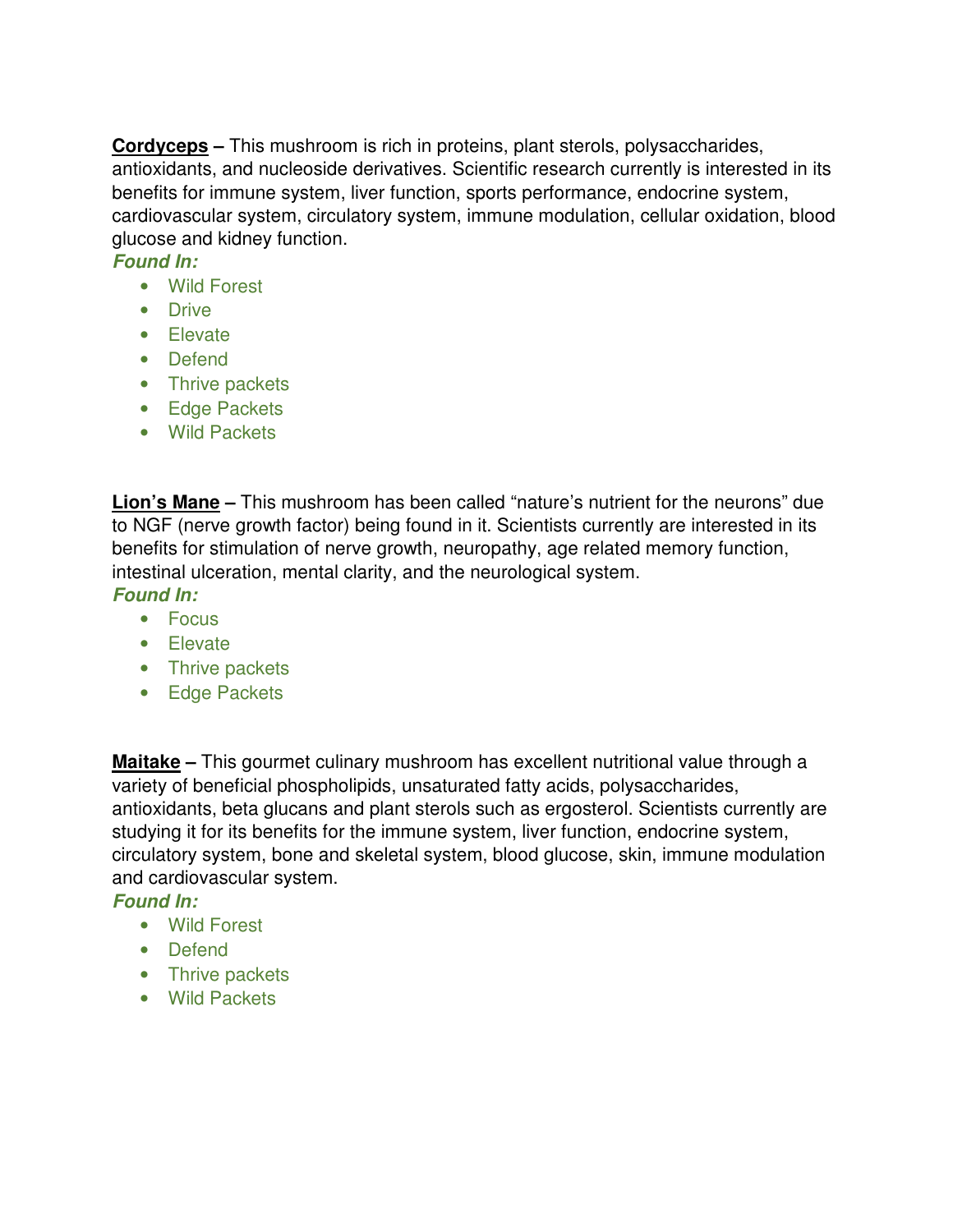**Cordyceps –** This mushroom is rich in proteins, plant sterols, polysaccharides, antioxidants, and nucleoside derivatives. Scientific research currently is interested in its benefits for immune system, liver function, sports performance, endocrine system, cardiovascular system, circulatory system, immune modulation, cellular oxidation, blood glucose and kidney function.

#### **Found In:**

- Wild Forest
- Drive
- Elevate
- Defend
- Thrive packets
- Edge Packets
- Wild Packets

**Lion's Mane –** This mushroom has been called "nature's nutrient for the neurons" due to NGF (nerve growth factor) being found in it. Scientists currently are interested in its benefits for stimulation of nerve growth, neuropathy, age related memory function, intestinal ulceration, mental clarity, and the neurological system.

**Found In:** 

- Focus
- Elevate
- Thrive packets
- Edge Packets

**Maitake –** This gourmet culinary mushroom has excellent nutritional value through a variety of beneficial phospholipids, unsaturated fatty acids, polysaccharides, antioxidants, beta glucans and plant sterols such as ergosterol. Scientists currently are studying it for its benefits for the immune system, liver function, endocrine system, circulatory system, bone and skeletal system, blood glucose, skin, immune modulation and cardiovascular system.

#### **Found In:**

- Wild Forest
- Defend
- Thrive packets
- Wild Packets